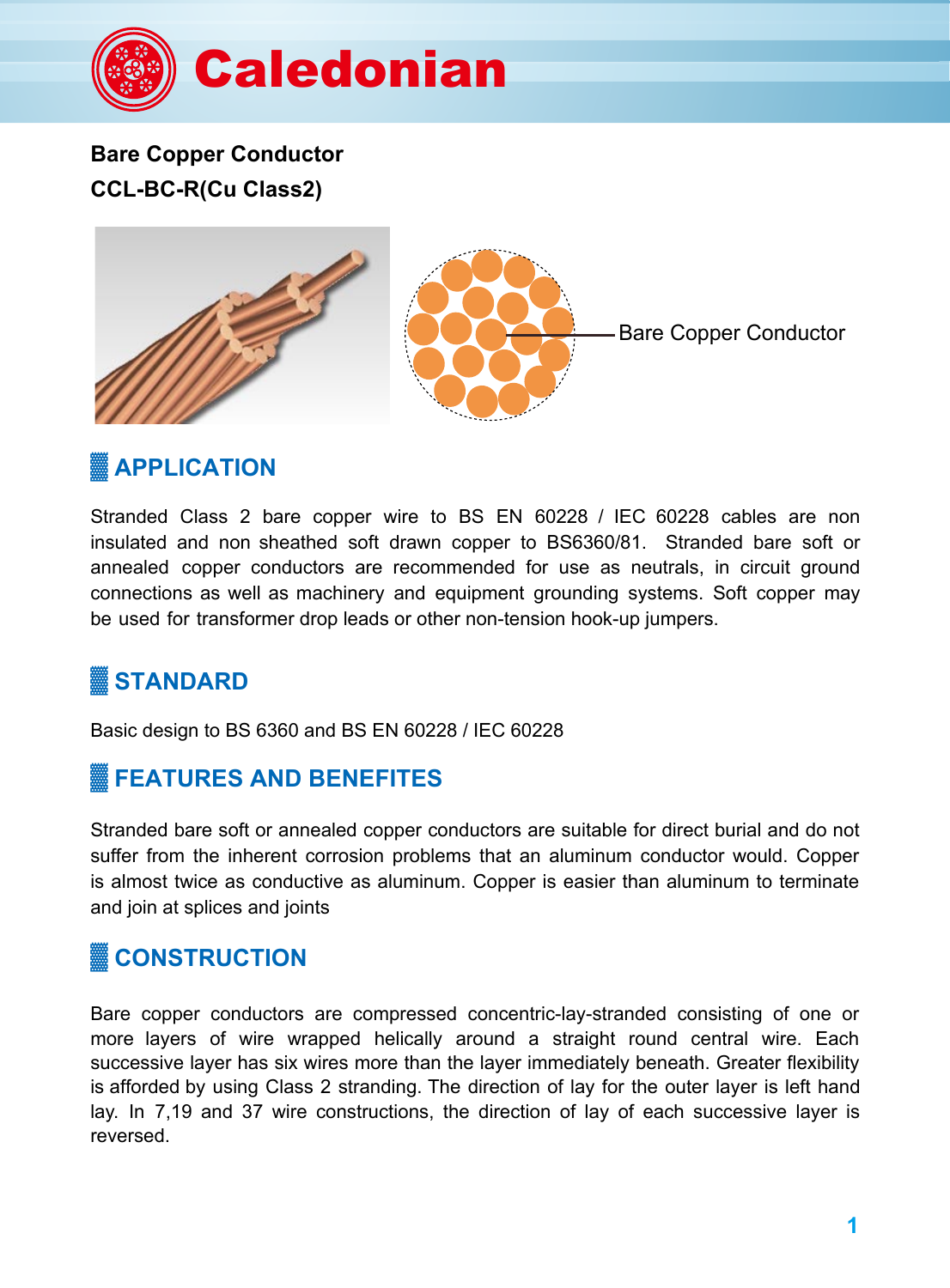

**Bare Copper Conductor CCL-BC-R(Cu Class2)**



## **APPLICATION**

Stranded Class 2 bare copper wire to BS EN 60228 / IEC 60228 cables are non insulated and non sheathed soft drawn copper to BS6360/81. Stranded bare soft or annealed copper conductors are recommended for use as neutrals, in circuit ground connections as well as machinery and equipment grounding systems. Soft copper may be used for transformer drop leads or other non-tension hook-up jumpers.

# **STANDARD**

Basic design to BS 6360 and BS EN 60228 / IEC 60228

### **FEATURES AND BENEFITES**

Stranded bare soft or annealed copper conductors are suitable for direct burial and do not suffer from the inherent corrosion problems that an aluminum conductor would. Copper is almost twice as conductive as aluminum. Copper is easier than aluminum to terminate and join at splices and joints

## **▓ CONSTRUCTION**

Bare copper conductors are compressed concentric-lay-stranded consisting of one or more layers of wire wrapped helically around a straight round central wire. Each successive layer has six wires more than the layer immediately beneath. Greater flexibility is afforded by using Class 2 stranding. The direction of lay for the outer layer is left hand lay. In 7,19 and 37 wire constructions, the direction of lay of each successive layer is reversed.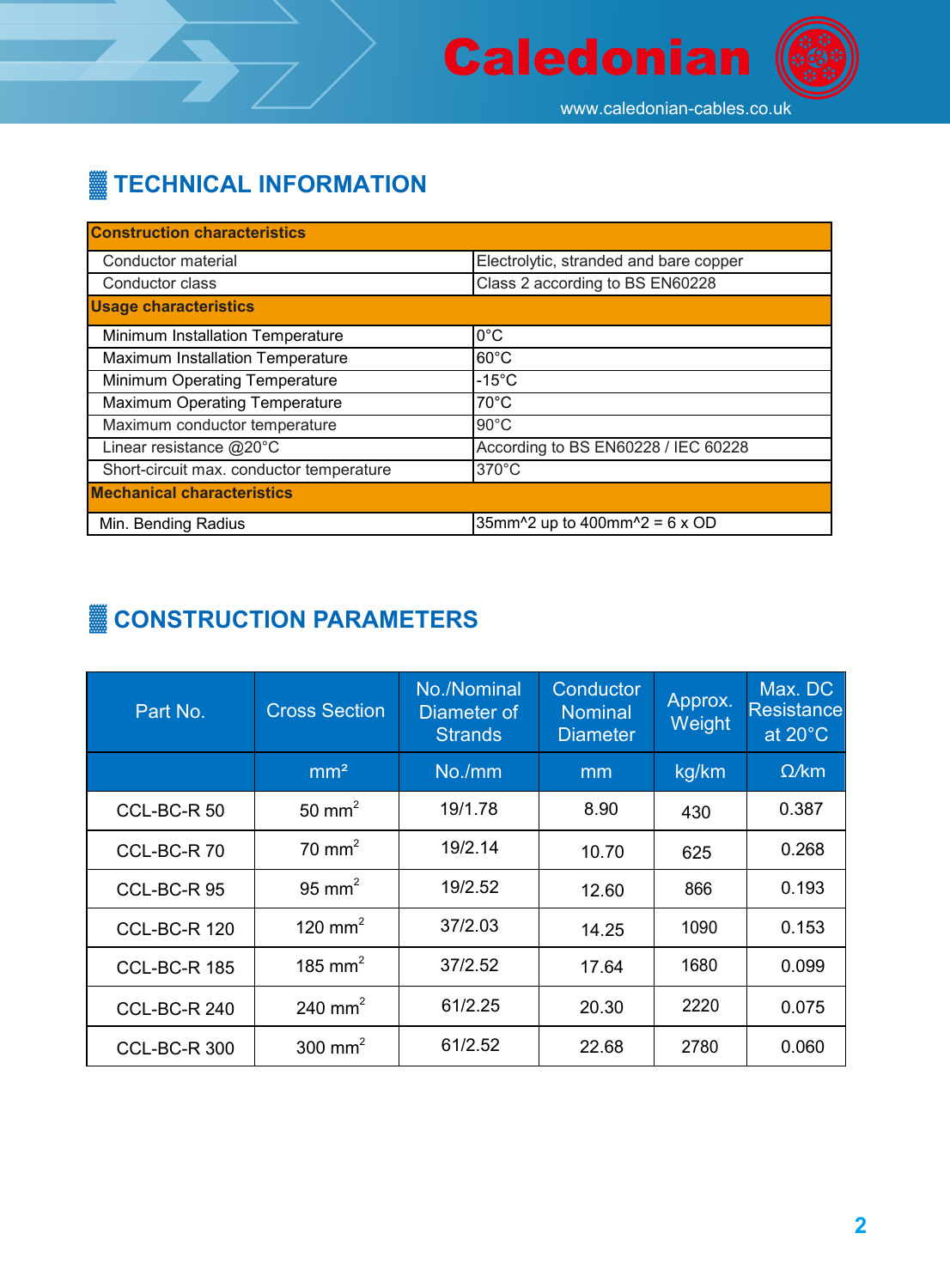

# **TECHNICAL INFORMATION**

| <b>Construction characteristics</b>      |                                                                                             |
|------------------------------------------|---------------------------------------------------------------------------------------------|
| Conductor material                       | Electrolytic, stranded and bare copper                                                      |
| Conductor class                          | Class 2 according to BS EN60228                                                             |
| <b>Usage characteristics</b>             |                                                                                             |
| Minimum Installation Temperature         | $0^{\circ}$ C                                                                               |
| Maximum Installation Temperature         | $60^{\circ}$ C                                                                              |
| Minimum Operating Temperature            | $-15^{\circ}$ C                                                                             |
| <b>Maximum Operating Temperature</b>     | $70^{\circ}$ C                                                                              |
| Maximum conductor temperature            | $90^{\circ}$ C                                                                              |
| Linear resistance @20°C                  | According to BS EN60228 / IEC 60228                                                         |
| Short-circuit max. conductor temperature | 370°C                                                                                       |
| <b>Mechanical characteristics</b>        |                                                                                             |
| Min. Bending Radius                      | 35mm <sup><math>\text{2}</math></sup> up to 400mm <sup><math>\text{2}</math></sup> = 6 x OD |

# **▓ CONSTRUCTION PARAMETERS**

| Part No.            | <b>Cross Section</b> | No./Nominal<br>Diameter of<br><b>Strands</b> | Conductor<br><b>Nominal</b><br><b>Diameter</b> | Approx.<br>Weight | Max. DC<br><b>Resistance</b><br>at 20°C |
|---------------------|----------------------|----------------------------------------------|------------------------------------------------|-------------------|-----------------------------------------|
|                     | mm <sup>2</sup>      | No./mm                                       | mm                                             | kg/km             | $\Omega$ /km                            |
| CCL-BC-R 50         | 50 mm <sup>2</sup>   | 19/1.78                                      | 8.90                                           | 430               | 0.387                                   |
| CCL-BC-R70          | $70 \text{ mm}^2$    | 19/2.14                                      | 10.70                                          | 625               | 0.268                                   |
| CCL-BC-R95          | 95 mm <sup>2</sup>   | 19/2.52                                      | 12.60                                          | 866               | 0.193                                   |
| <b>CCL-BC-R 120</b> | 120 mm <sup>2</sup>  | 37/2.03                                      | 14.25                                          | 1090              | 0.153                                   |
| <b>CCL-BC-R 185</b> | 185 mm <sup>2</sup>  | 37/2.52                                      | 17.64                                          | 1680              | 0.099                                   |
| <b>CCL-BC-R 240</b> | 240 mm <sup>2</sup>  | 61/2.25                                      | 20.30                                          | 2220              | 0.075                                   |
| <b>CCL-BC-R 300</b> | 300 mm <sup>2</sup>  | 61/2.52                                      | 22.68                                          | 2780              | 0.060                                   |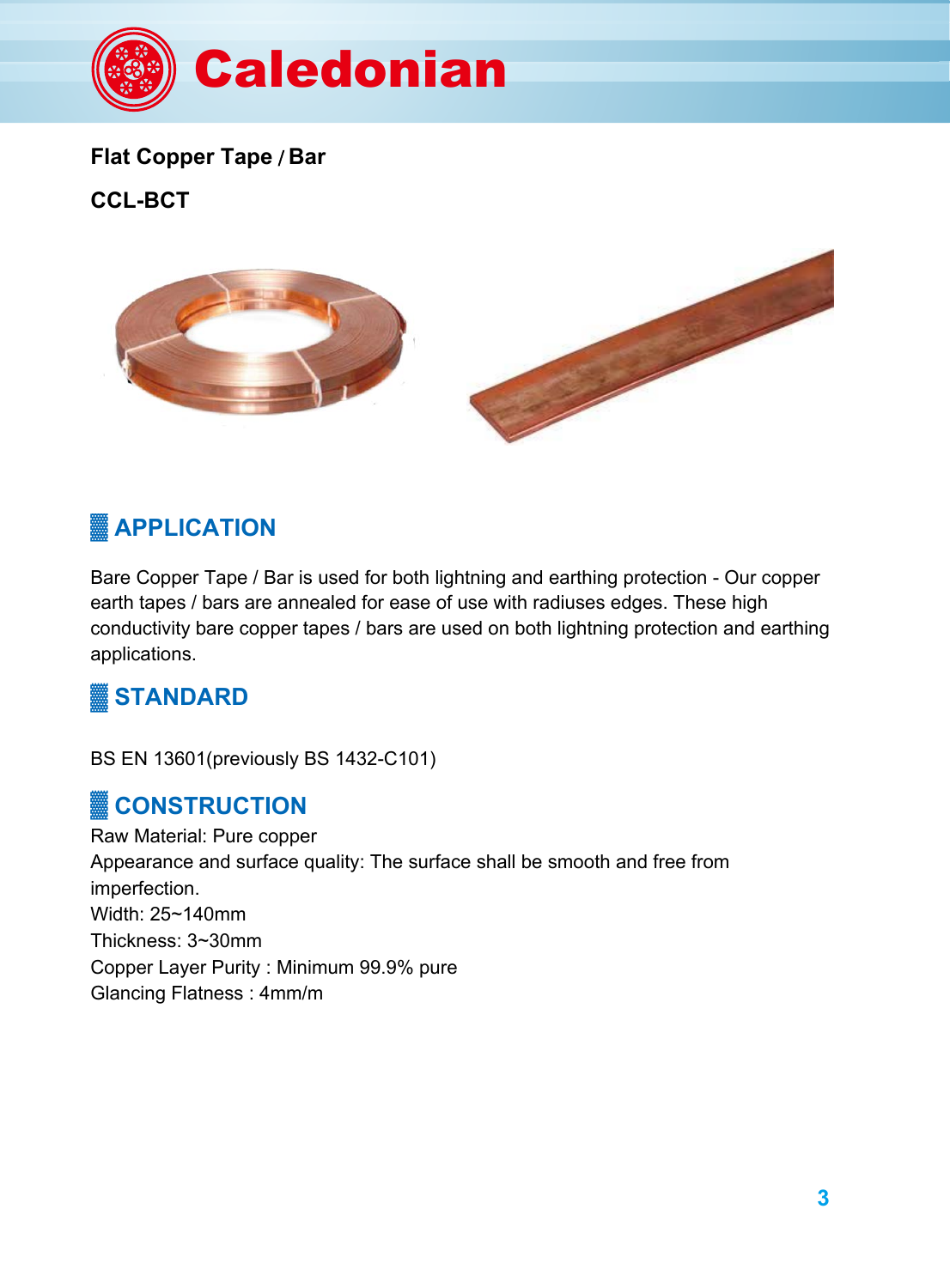

#### **Flat Copper Tape** / **Bar**

**CCL-BCT**



# **APPLICATION**

Bare Copper Tape / Bar is used for both lightning and earthing protection - Our copper earth tapes / bars are annealed for ease of use with radiuses edges. These high conductivity bare copper tapes / bars are used on both lightning protection and earthing applications.

## **STANDARD**

BS EN 13601(previously BS 1432-C101)

### **CONSTRUCTION**

Raw Material: Pure copper Appearance and surface quality: The surface shall be smooth and free from imperfection. Width: 25~140mm Thickness: 3~30mm Copper Layer Purity : Minimum 99.9% pure Glancing Flatness : 4mm/m